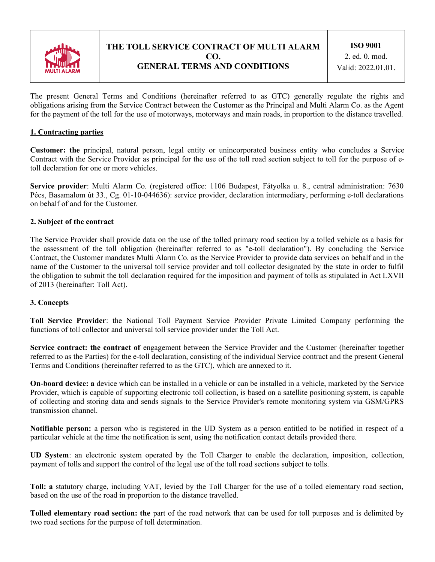

# **THE TOLL SERVICE CONTRACT OF MULTI ALARM CO. GENERAL TERMS AND CONDITIONS**

The present General Terms and Conditions (hereinafter referred to as GTC) generally regulate the rights and obligations arising from the Service Contract between the Customer as the Principal and Multi Alarm Co. as the Agent for the payment of the toll for the use of motorways, motorways and main roads, in proportion to the distance travelled.

## **1. Contracting parties**

**Customer: the** principal, natural person, legal entity or unincorporated business entity who concludes a Service Contract with the Service Provider as principal for the use of the toll road section subject to toll for the purpose of etoll declaration for one or more vehicles.

**Service provider**: Multi Alarm Co. (registered office: 1106 Budapest, Fátyolka u. 8., central administration: 7630 Pécs, Basamalom út 33., Cg. 01-10-044636): service provider, declaration intermediary, performing e-toll declarations on behalf of and for the Customer.

## **2. Subject of the contract**

The Service Provider shall provide data on the use of the tolled primary road section by a tolled vehicle as a basis for the assessment of the toll obligation (hereinafter referred to as "e-toll declaration"). By concluding the Service Contract, the Customer mandates Multi Alarm Co. as the Service Provider to provide data services on behalf and in the name of the Customer to the universal toll service provider and toll collector designated by the state in order to fulfil the obligation to submit the toll declaration required for the imposition and payment of tolls as stipulated in Act LXVII of 2013 (hereinafter: Toll Act).

## **3. Concepts**

**Toll Service Provider**: the National Toll Payment Service Provider Private Limited Company performing the functions of toll collector and universal toll service provider under the Toll Act.

**Service contract: the contract of** engagement between the Service Provider and the Customer (hereinafter together referred to as the Parties) for the e-toll declaration, consisting of the individual Service contract and the present General Terms and Conditions (hereinafter referred to as the GTC), which are annexed to it.

**On-board device: a** device which can be installed in a vehicle or can be installed in a vehicle, marketed by the Service Provider, which is capable of supporting electronic toll collection, is based on a satellite positioning system, is capable of collecting and storing data and sends signals to the Service Provider's remote monitoring system via GSM/GPRS transmission channel.

**Notifiable person:** a person who is registered in the UD System as a person entitled to be notified in respect of a particular vehicle at the time the notification is sent, using the notification contact details provided there.

**UD System**: an electronic system operated by the Toll Charger to enable the declaration, imposition, collection, payment of tolls and support the control of the legal use of the toll road sections subject to tolls.

**Toll: a** statutory charge, including VAT, levied by the Toll Charger for the use of a tolled elementary road section, based on the use of the road in proportion to the distance travelled.

**Tolled elementary road section: the** part of the road network that can be used for toll purposes and is delimited by two road sections for the purpose of toll determination.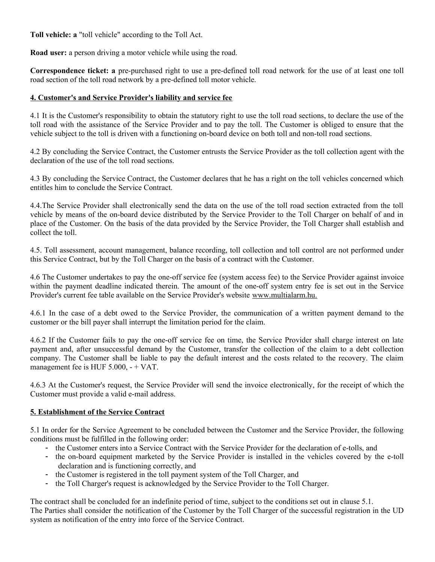**Toll vehicle: a** "toll vehicle" according to the Toll Act.

**Road user:** a person driving a motor vehicle while using the road.

**Correspondence ticket: a** pre-purchased right to use a pre-defined toll road network for the use of at least one toll road section of the toll road network by a pre-defined toll motor vehicle.

## **4. Customer's and Service Provider's liability and service fee**

4.1 It is the Customer's responsibility to obtain the statutory right to use the toll road sections, to declare the use of the toll road with the assistance of the Service Provider and to pay the toll. The Customer is obliged to ensure that the vehicle subject to the toll is driven with a functioning on-board device on both toll and non-toll road sections.

4.2 By concluding the Service Contract, the Customer entrusts the Service Provider as the toll collection agent with the declaration of the use of the toll road sections.

4.3 By concluding the Service Contract, the Customer declares that he has a right on the toll vehicles concerned which entitles him to conclude the Service Contract.

4.4.The Service Provider shall electronically send the data on the use of the toll road section extracted from the toll vehicle by means of the on-board device distributed by the Service Provider to the Toll Charger on behalf of and in place of the Customer. On the basis of the data provided by the Service Provider, the Toll Charger shall establish and collect the toll.

4.5. Toll assessment, account management, balance recording, toll collection and toll control are not performed under this Service Contract, but by the Toll Charger on the basis of a contract with the Customer.

4.6 The Customer undertakes to pay the one-off service fee (system access fee) to the Service Provider against invoice within the payment deadline indicated therein. The amount of the one-off system entry fee is set out in the Service Provider's current fee table available on the Service Provider's website www.multialarm.hu.

4.6.1 In the case of a debt owed to the Service Provider, the communication of a written payment demand to the customer or the bill payer shall interrupt the limitation period for the claim.

4.6.2 If the Customer fails to pay the one-off service fee on time, the Service Provider shall charge interest on late payment and, after unsuccessful demand by the Customer, transfer the collection of the claim to a debt collection company. The Customer shall be liable to pay the default interest and the costs related to the recovery. The claim management fee is HUF 5.000, - + VAT.

4.6.3 At the Customer's request, the Service Provider will send the invoice electronically, for the receipt of which the Customer must provide a valid e-mail address.

## **5. Establishment of the Service Contract**

5.1 In order for the Service Agreement to be concluded between the Customer and the Service Provider, the following conditions must be fulfilled in the following order:

- the Customer enters into a Service Contract with the Service Provider for the declaration of e-tolls, and
- the on-board equipment marketed by the Service Provider is installed in the vehicles covered by the e-toll declaration and is functioning correctly, and
- the Customer is registered in the toll payment system of the Toll Charger, and
- the Toll Charger's request is acknowledged by the Service Provider to the Toll Charger.

The contract shall be concluded for an indefinite period of time, subject to the conditions set out in clause 5.1. The Parties shall consider the notification of the Customer by the Toll Charger of the successful registration in the UD system as notification of the entry into force of the Service Contract.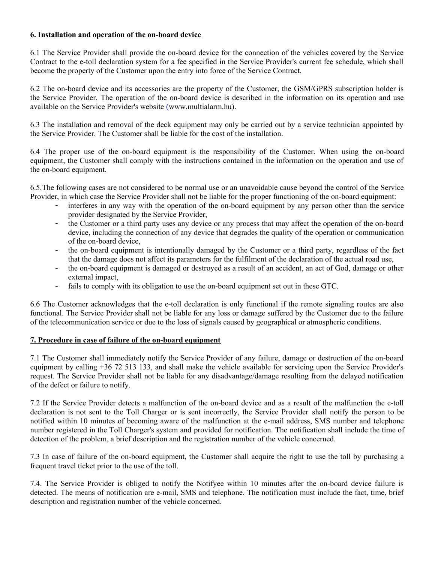## **6. Installation and operation of the on-board device**

6.1 The Service Provider shall provide the on-board device for the connection of the vehicles covered by the Service Contract to the e-toll declaration system for a fee specified in the Service Provider's current fee schedule, which shall become the property of the Customer upon the entry into force of the Service Contract.

6.2 The on-board device and its accessories are the property of the Customer, the GSM/GPRS subscription holder is the Service Provider. The operation of the on-board device is described in the information on its operation and use available on the Service Provider's website (www.multialarm.hu).

6.3 The installation and removal of the deck equipment may only be carried out by a service technician appointed by the Service Provider. The Customer shall be liable for the cost of the installation.

6.4 The proper use of the on-board equipment is the responsibility of the Customer. When using the on-board equipment, the Customer shall comply with the instructions contained in the information on the operation and use of the on-board equipment.

6.5.The following cases are not considered to be normal use or an unavoidable cause beyond the control of the Service Provider, in which case the Service Provider shall not be liable for the proper functioning of the on-board equipment:

- interferes in any way with the operation of the on-board equipment by any person other than the service provider designated by the Service Provider,
- the Customer or a third party uses any device or any process that may affect the operation of the on-board device, including the connection of any device that degrades the quality of the operation or communication of the on-board device,
- the on-board equipment is intentionally damaged by the Customer or a third party, regardless of the fact that the damage does not affect its parameters for the fulfilment of the declaration of the actual road use,
- the on-board equipment is damaged or destroyed as a result of an accident, an act of God, damage or other external impact,
- fails to comply with its obligation to use the on-board equipment set out in these GTC.

6.6 The Customer acknowledges that the e-toll declaration is only functional if the remote signaling routes are also functional. The Service Provider shall not be liable for any loss or damage suffered by the Customer due to the failure of the telecommunication service or due to the loss of signals caused by geographical or atmospheric conditions.

#### **7. Procedure in case of failure of the on-board equipment**

7.1 The Customer shall immediately notify the Service Provider of any failure, damage or destruction of the on-board equipment by calling +36 72 513 133, and shall make the vehicle available for servicing upon the Service Provider's request. The Service Provider shall not be liable for any disadvantage/damage resulting from the delayed notification of the defect or failure to notify.

7.2 If the Service Provider detects a malfunction of the on-board device and as a result of the malfunction the e-toll declaration is not sent to the Toll Charger or is sent incorrectly, the Service Provider shall notify the person to be notified within 10 minutes of becoming aware of the malfunction at the e-mail address, SMS number and telephone number registered in the Toll Charger's system and provided for notification. The notification shall include the time of detection of the problem, a brief description and the registration number of the vehicle concerned.

7.3 In case of failure of the on-board equipment, the Customer shall acquire the right to use the toll by purchasing a frequent travel ticket prior to the use of the toll.

7.4. The Service Provider is obliged to notify the Notifyee within 10 minutes after the on-board device failure is detected. The means of notification are e-mail, SMS and telephone. The notification must include the fact, time, brief description and registration number of the vehicle concerned.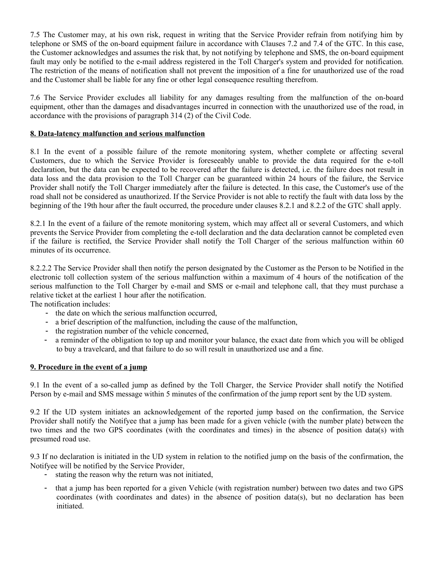7.5 The Customer may, at his own risk, request in writing that the Service Provider refrain from notifying him by telephone or SMS of the on-board equipment failure in accordance with Clauses 7.2 and 7.4 of the GTC. In this case, the Customer acknowledges and assumes the risk that, by not notifying by telephone and SMS, the on-board equipment fault may only be notified to the e-mail address registered in the Toll Charger's system and provided for notification. The restriction of the means of notification shall not prevent the imposition of a fine for unauthorized use of the road and the Customer shall be liable for any fine or other legal consequence resulting therefrom.

7.6 The Service Provider excludes all liability for any damages resulting from the malfunction of the on-board equipment, other than the damages and disadvantages incurred in connection with the unauthorized use of the road, in accordance with the provisions of paragraph 314 (2) of the Civil Code.

## **8. Data-latency malfunction and serious malfunction**

8.1 In the event of a possible failure of the remote monitoring system, whether complete or affecting several Customers, due to which the Service Provider is foreseeably unable to provide the data required for the e-toll declaration, but the data can be expected to be recovered after the failure is detected, i.e. the failure does not result in data loss and the data provision to the Toll Charger can be guaranteed within 24 hours of the failure, the Service Provider shall notify the Toll Charger immediately after the failure is detected. In this case, the Customer's use of the road shall not be considered as unauthorized. If the Service Provider is not able to rectify the fault with data loss by the beginning of the 19th hour after the fault occurred, the procedure under clauses 8.2.1 and 8.2.2 of the GTC shall apply.

8.2.1 In the event of a failure of the remote monitoring system, which may affect all or several Customers, and which prevents the Service Provider from completing the e-toll declaration and the data declaration cannot be completed even if the failure is rectified, the Service Provider shall notify the Toll Charger of the serious malfunction within 60 minutes of its occurrence.

8.2.2.2 The Service Provider shall then notify the person designated by the Customer as the Person to be Notified in the electronic toll collection system of the serious malfunction within a maximum of 4 hours of the notification of the serious malfunction to the Toll Charger by e-mail and SMS or e-mail and telephone call, that they must purchase a relative ticket at the earliest 1 hour after the notification.

The notification includes:

- the date on which the serious malfunction occurred,
- a brief description of the malfunction, including the cause of the malfunction,
- the registration number of the vehicle concerned,
- a reminder of the obligation to top up and monitor your balance, the exact date from which you will be obliged to buy a travelcard, and that failure to do so will result in unauthorized use and a fine.

## **9. Procedure in the event of a jump**

9.1 In the event of a so-called jump as defined by the Toll Charger, the Service Provider shall notify the Notified Person by e-mail and SMS message within 5 minutes of the confirmation of the jump report sent by the UD system.

9.2 If the UD system initiates an acknowledgement of the reported jump based on the confirmation, the Service Provider shall notify the Notifyee that a jump has been made for a given vehicle (with the number plate) between the two times and the two GPS coordinates (with the coordinates and times) in the absence of position data(s) with presumed road use.

9.3 If no declaration is initiated in the UD system in relation to the notified jump on the basis of the confirmation, the Notifyee will be notified by the Service Provider,

- stating the reason why the return was not initiated,
- that a jump has been reported for a given Vehicle (with registration number) between two dates and two GPS coordinates (with coordinates and dates) in the absence of position data(s), but no declaration has been initiated.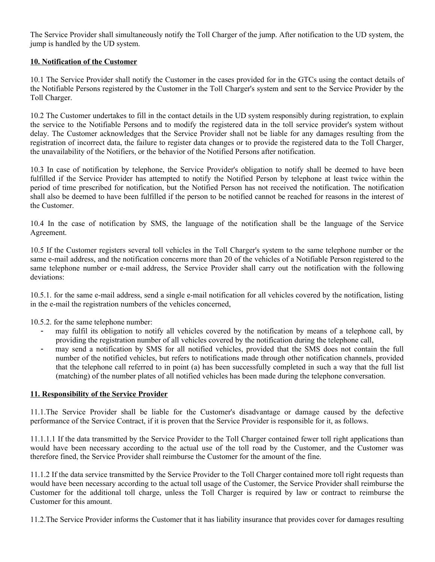The Service Provider shall simultaneously notify the Toll Charger of the jump. After notification to the UD system, the jump is handled by the UD system.

## **10. Notification of the Customer**

10.1 The Service Provider shall notify the Customer in the cases provided for in the GTCs using the contact details of the Notifiable Persons registered by the Customer in the Toll Charger's system and sent to the Service Provider by the Toll Charger.

10.2 The Customer undertakes to fill in the contact details in the UD system responsibly during registration, to explain the service to the Notifiable Persons and to modify the registered data in the toll service provider's system without delay. The Customer acknowledges that the Service Provider shall not be liable for any damages resulting from the registration of incorrect data, the failure to register data changes or to provide the registered data to the Toll Charger, the unavailability of the Notifiers, or the behavior of the Notified Persons after notification.

10.3 In case of notification by telephone, the Service Provider's obligation to notify shall be deemed to have been fulfilled if the Service Provider has attempted to notify the Notified Person by telephone at least twice within the period of time prescribed for notification, but the Notified Person has not received the notification. The notification shall also be deemed to have been fulfilled if the person to be notified cannot be reached for reasons in the interest of the Customer.

10.4 In the case of notification by SMS, the language of the notification shall be the language of the Service Agreement.

10.5 If the Customer registers several toll vehicles in the Toll Charger's system to the same telephone number or the same e-mail address, and the notification concerns more than 20 of the vehicles of a Notifiable Person registered to the same telephone number or e-mail address, the Service Provider shall carry out the notification with the following deviations:

10.5.1. for the same e-mail address, send a single e-mail notification for all vehicles covered by the notification, listing in the e-mail the registration numbers of the vehicles concerned,

10.5.2. for the same telephone number:

- may fulfil its obligation to notify all vehicles covered by the notification by means of a telephone call, by providing the registration number of all vehicles covered by the notification during the telephone call,
- may send a notification by SMS for all notified vehicles, provided that the SMS does not contain the full number of the notified vehicles, but refers to notifications made through other notification channels, provided that the telephone call referred to in point (a) has been successfully completed in such a way that the full list (matching) of the number plates of all notified vehicles has been made during the telephone conversation.

#### **11. Responsibility of the Service Provider**

11.1.The Service Provider shall be liable for the Customer's disadvantage or damage caused by the defective performance of the Service Contract, if it is proven that the Service Provider is responsible for it, as follows.

11.1.1.1 If the data transmitted by the Service Provider to the Toll Charger contained fewer toll right applications than would have been necessary according to the actual use of the toll road by the Customer, and the Customer was therefore fined, the Service Provider shall reimburse the Customer for the amount of the fine.

11.1.2 If the data service transmitted by the Service Provider to the Toll Charger contained more toll right requests than would have been necessary according to the actual toll usage of the Customer, the Service Provider shall reimburse the Customer for the additional toll charge, unless the Toll Charger is required by law or contract to reimburse the Customer for this amount.

11.2.The Service Provider informs the Customer that it has liability insurance that provides cover for damages resulting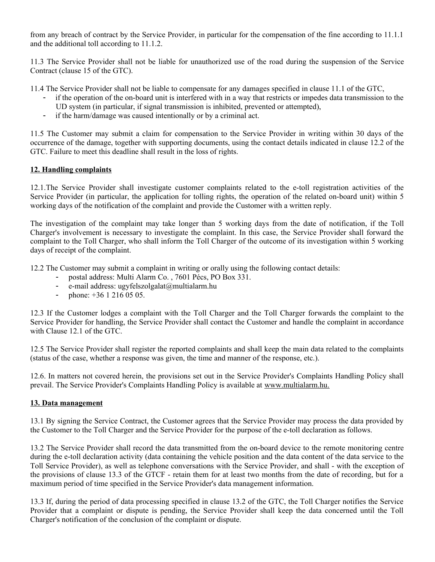from any breach of contract by the Service Provider, in particular for the compensation of the fine according to 11.1.1 and the additional toll according to 11.1.2.

11.3 The Service Provider shall not be liable for unauthorized use of the road during the suspension of the Service Contract (clause 15 of the GTC).

11.4 The Service Provider shall not be liable to compensate for any damages specified in clause 11.1 of the GTC,

- if the operation of the on-board unit is interfered with in a way that restricts or impedes data transmission to the UD system (in particular, if signal transmission is inhibited, prevented or attempted),
- if the harm/damage was caused intentionally or by a criminal act.

11.5 The Customer may submit a claim for compensation to the Service Provider in writing within 30 days of the occurrence of the damage, together with supporting documents, using the contact details indicated in clause 12.2 of the GTC. Failure to meet this deadline shall result in the loss of rights.

## **12. Handling complaints**

12.1.The Service Provider shall investigate customer complaints related to the e-toll registration activities of the Service Provider (in particular, the application for tolling rights, the operation of the related on-board unit) within 5 working days of the notification of the complaint and provide the Customer with a written reply.

The investigation of the complaint may take longer than 5 working days from the date of notification, if the Toll Charger's involvement is necessary to investigate the complaint. In this case, the Service Provider shall forward the complaint to the Toll Charger, who shall inform the Toll Charger of the outcome of its investigation within 5 working days of receipt of the complaint.

12.2 The Customer may submit a complaint in writing or orally using the following contact details:

- postal address: Multi Alarm Co., 7601 Pécs, PO Box 331.
- e-mail address: ugyfelszolgalat@multialarm.hu<br>- phone:  $+36, 1, 216, 05, 05$
- phone: +36 1 216 05 05.

12.3 If the Customer lodges a complaint with the Toll Charger and the Toll Charger forwards the complaint to the Service Provider for handling, the Service Provider shall contact the Customer and handle the complaint in accordance with Clause 12.1 of the GTC.

12.5 The Service Provider shall register the reported complaints and shall keep the main data related to the complaints (status of the case, whether a response was given, the time and manner of the response, etc.).

12.6. In matters not covered herein, the provisions set out in the Service Provider's Complaints Handling Policy shall prevail. The Service Provider's Complaints Handling Policy is available at www.multialarm.hu.

#### **13. Data management**

13.1 By signing the Service Contract, the Customer agrees that the Service Provider may process the data provided by the Customer to the Toll Charger and the Service Provider for the purpose of the e-toll declaration as follows.

13.2 The Service Provider shall record the data transmitted from the on-board device to the remote monitoring centre during the e-toll declaration activity (data containing the vehicle position and the data content of the data service to the Toll Service Provider), as well as telephone conversations with the Service Provider, and shall - with the exception of the provisions of clause 13.3 of the GTCF - retain them for at least two months from the date of recording, but for a maximum period of time specified in the Service Provider's data management information.

13.3 If, during the period of data processing specified in clause 13.2 of the GTC, the Toll Charger notifies the Service Provider that a complaint or dispute is pending, the Service Provider shall keep the data concerned until the Toll Charger's notification of the conclusion of the complaint or dispute.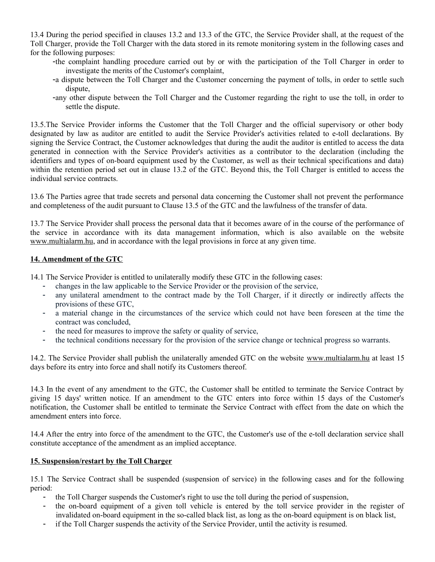13.4 During the period specified in clauses 13.2 and 13.3 of the GTC, the Service Provider shall, at the request of the Toll Charger, provide the Toll Charger with the data stored in its remote monitoring system in the following cases and for the following purposes:

- -the complaint handling procedure carried out by or with the participation of the Toll Charger in order to investigate the merits of the Customer's complaint,
- -a dispute between the Toll Charger and the Customer concerning the payment of tolls, in order to settle such dispute,
- -any other dispute between the Toll Charger and the Customer regarding the right to use the toll, in order to settle the dispute.

13.5.The Service Provider informs the Customer that the Toll Charger and the official supervisory or other body designated by law as auditor are entitled to audit the Service Provider's activities related to e-toll declarations. By signing the Service Contract, the Customer acknowledges that during the audit the auditor is entitled to access the data generated in connection with the Service Provider's activities as a contributor to the declaration (including the identifiers and types of on-board equipment used by the Customer, as well as their technical specifications and data) within the retention period set out in clause 13.2 of the GTC. Beyond this, the Toll Charger is entitled to access the individual service contracts.

13.6 The Parties agree that trade secrets and personal data concerning the Customer shall not prevent the performance and completeness of the audit pursuant to Clause 13.5 of the GTC and the lawfulness of the transfer of data.

13.7 The Service Provider shall process the personal data that it becomes aware of in the course of the performance of the service in accordance with its data management information, which is also available on the website www.multialarm.hu, and in accordance with the legal provisions in force at any given time.

#### **14. Amendment of the GTC**

14.1 The Service Provider is entitled to unilaterally modify these GTC in the following cases:

- changes in the law applicable to the Service Provider or the provision of the service,<br>- any unilateral amendment to the contract made by the Toll Charger if it directl
- any unilateral amendment to the contract made by the Toll Charger, if it directly or indirectly affects the provisions of these GTC,
- a material change in the circumstances of the service which could not have been foreseen at the time the contract was concluded,
- the need for measures to improve the safety or quality of service,
- the technical conditions necessary for the provision of the service change or technical progress so warrants.

14.2. The Service Provider shall publish the unilaterally amended GTC on the website www.multialarm.hu at least 15 days before its entry into force and shall notify its Customers thereof.

14.3 In the event of any amendment to the GTC, the Customer shall be entitled to terminate the Service Contract by giving 15 days' written notice. If an amendment to the GTC enters into force within 15 days of the Customer's notification, the Customer shall be entitled to terminate the Service Contract with effect from the date on which the amendment enters into force.

14.4 After the entry into force of the amendment to the GTC, the Customer's use of the e-toll declaration service shall constitute acceptance of the amendment as an implied acceptance.

#### **15. Suspension/restart by the Toll Charger**

15.1 The Service Contract shall be suspended (suspension of service) in the following cases and for the following period:

- the Toll Charger suspends the Customer's right to use the toll during the period of suspension,
- the on-board equipment of a given toll vehicle is entered by the toll service provider in the register of invalidated on-board equipment in the so-called black list, as long as the on-board equipment is on black list,
- if the Toll Charger suspends the activity of the Service Provider, until the activity is resumed.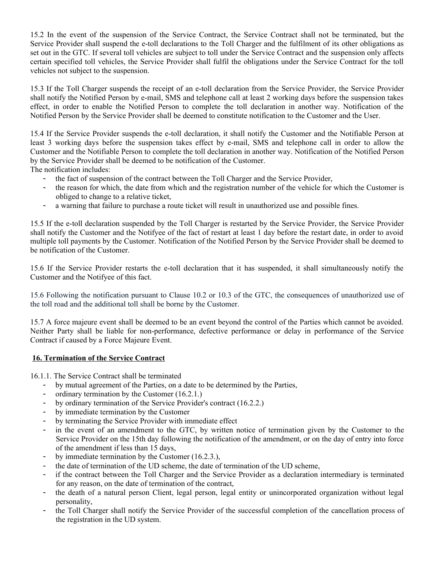15.2 In the event of the suspension of the Service Contract, the Service Contract shall not be terminated, but the Service Provider shall suspend the e-toll declarations to the Toll Charger and the fulfilment of its other obligations as set out in the GTC. If several toll vehicles are subject to toll under the Service Contract and the suspension only affects certain specified toll vehicles, the Service Provider shall fulfil the obligations under the Service Contract for the toll vehicles not subject to the suspension.

15.3 If the Toll Charger suspends the receipt of an e-toll declaration from the Service Provider, the Service Provider shall notify the Notified Person by e-mail, SMS and telephone call at least 2 working days before the suspension takes effect, in order to enable the Notified Person to complete the toll declaration in another way. Notification of the Notified Person by the Service Provider shall be deemed to constitute notification to the Customer and the User.

15.4 If the Service Provider suspends the e-toll declaration, it shall notify the Customer and the Notifiable Person at least 3 working days before the suspension takes effect by e-mail, SMS and telephone call in order to allow the Customer and the Notifiable Person to complete the toll declaration in another way. Notification of the Notified Person by the Service Provider shall be deemed to be notification of the Customer.

The notification includes:

- the fact of suspension of the contract between the Toll Charger and the Service Provider,
- the reason for which, the date from which and the registration number of the vehicle for which the Customer is obliged to change to a relative ticket,
- a warning that failure to purchase a route ticket will result in unauthorized use and possible fines.

15.5 If the e-toll declaration suspended by the Toll Charger is restarted by the Service Provider, the Service Provider shall notify the Customer and the Notifyee of the fact of restart at least 1 day before the restart date, in order to avoid multiple toll payments by the Customer. Notification of the Notified Person by the Service Provider shall be deemed to be notification of the Customer.

15.6 If the Service Provider restarts the e-toll declaration that it has suspended, it shall simultaneously notify the Customer and the Notifyee of this fact.

15.6 Following the notification pursuant to Clause 10.2 or 10.3 of the GTC, the consequences of unauthorized use of the toll road and the additional toll shall be borne by the Customer.

15.7 A force majeure event shall be deemed to be an event beyond the control of the Parties which cannot be avoided. Neither Party shall be liable for non-performance, defective performance or delay in performance of the Service Contract if caused by a Force Majeure Event.

#### **16. Termination of the Service Contract**

16.1.1. The Service Contract shall be terminated

- by mutual agreement of the Parties, on a date to be determined by the Parties,
- ordinary termination by the Customer  $(16.2.1.)$
- by ordinary termination of the Service Provider's contract (16.2.2.)
- by immediate termination by the Customer
- by terminating the Service Provider with immediate effect
- in the event of an amendment to the GTC, by written notice of termination given by the Customer to the Service Provider on the 15th day following the notification of the amendment, or on the day of entry into force of the amendment if less than 15 days,
- by immediate termination by the Customer (16.2.3.),
- the date of termination of the UD scheme, the date of termination of the UD scheme,
- if the contract between the Toll Charger and the Service Provider as a declaration intermediary is terminated for any reason, on the date of termination of the contract,
- the death of a natural person Client, legal person, legal entity or unincorporated organization without legal personality,
- the Toll Charger shall notify the Service Provider of the successful completion of the cancellation process of the registration in the UD system.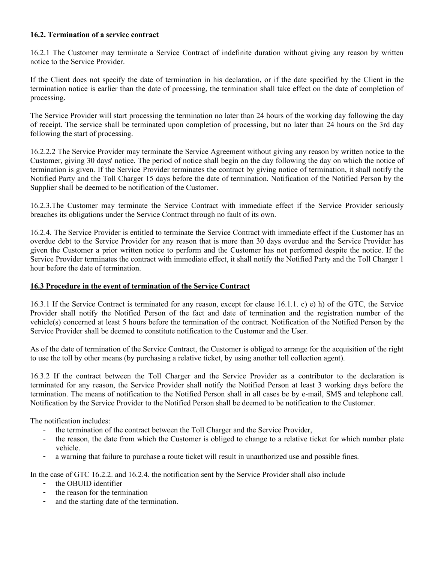## **16.2. Termination of a service contract**

16.2.1 The Customer may terminate a Service Contract of indefinite duration without giving any reason by written notice to the Service Provider.

If the Client does not specify the date of termination in his declaration, or if the date specified by the Client in the termination notice is earlier than the date of processing, the termination shall take effect on the date of completion of processing.

The Service Provider will start processing the termination no later than 24 hours of the working day following the day of receipt. The service shall be terminated upon completion of processing, but no later than 24 hours on the 3rd day following the start of processing.

16.2.2.2 The Service Provider may terminate the Service Agreement without giving any reason by written notice to the Customer, giving 30 days' notice. The period of notice shall begin on the day following the day on which the notice of termination is given. If the Service Provider terminates the contract by giving notice of termination, it shall notify the Notified Party and the Toll Charger 15 days before the date of termination. Notification of the Notified Person by the Supplier shall be deemed to be notification of the Customer.

16.2.3.The Customer may terminate the Service Contract with immediate effect if the Service Provider seriously breaches its obligations under the Service Contract through no fault of its own.

16.2.4. The Service Provider is entitled to terminate the Service Contract with immediate effect if the Customer has an overdue debt to the Service Provider for any reason that is more than 30 days overdue and the Service Provider has given the Customer a prior written notice to perform and the Customer has not performed despite the notice. If the Service Provider terminates the contract with immediate effect, it shall notify the Notified Party and the Toll Charger 1 hour before the date of termination.

## **16.3 Procedure in the event of termination of the Service Contract**

16.3.1 If the Service Contract is terminated for any reason, except for clause 16.1.1. c) e) h) of the GTC, the Service Provider shall notify the Notified Person of the fact and date of termination and the registration number of the vehicle(s) concerned at least 5 hours before the termination of the contract. Notification of the Notified Person by the Service Provider shall be deemed to constitute notification to the Customer and the User.

As of the date of termination of the Service Contract, the Customer is obliged to arrange for the acquisition of the right to use the toll by other means (by purchasing a relative ticket, by using another toll collection agent).

16.3.2 If the contract between the Toll Charger and the Service Provider as a contributor to the declaration is terminated for any reason, the Service Provider shall notify the Notified Person at least 3 working days before the termination. The means of notification to the Notified Person shall in all cases be by e-mail, SMS and telephone call. Notification by the Service Provider to the Notified Person shall be deemed to be notification to the Customer.

The notification includes:

- the termination of the contract between the Toll Charger and the Service Provider,
- the reason, the date from which the Customer is obliged to change to a relative ticket for which number plate vehicle.
- a warning that failure to purchase a route ticket will result in unauthorized use and possible fines.

In the case of GTC 16.2.2. and 16.2.4. the notification sent by the Service Provider shall also include

- the OBUID identifier
- the reason for the termination
- and the starting date of the termination.